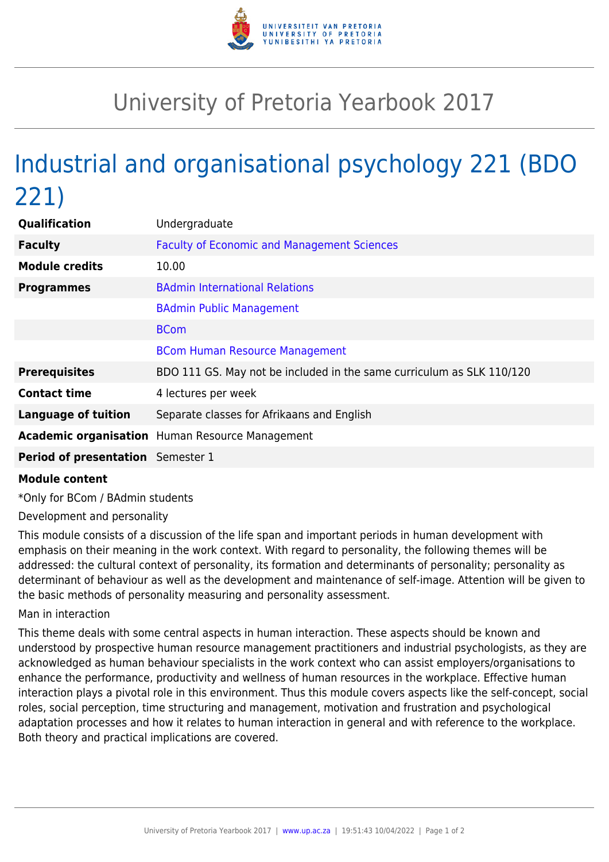

## University of Pretoria Yearbook 2017

## Industrial and organisational psychology 221 (BDO 221)

| Qualification                            | Undergraduate                                                         |
|------------------------------------------|-----------------------------------------------------------------------|
| <b>Faculty</b>                           | <b>Faculty of Economic and Management Sciences</b>                    |
| <b>Module credits</b>                    | 10.00                                                                 |
| <b>Programmes</b>                        | <b>BAdmin International Relations</b>                                 |
|                                          | <b>BAdmin Public Management</b>                                       |
|                                          | <b>BCom</b>                                                           |
|                                          | <b>BCom Human Resource Management</b>                                 |
| <b>Prerequisites</b>                     | BDO 111 GS. May not be included in the same curriculum as SLK 110/120 |
| <b>Contact time</b>                      | 4 lectures per week                                                   |
| <b>Language of tuition</b>               | Separate classes for Afrikaans and English                            |
|                                          | <b>Academic organisation</b> Human Resource Management                |
| <b>Period of presentation</b> Semester 1 |                                                                       |

## **Module content**

\*Only for BCom / BAdmin students

Development and personality

This module consists of a discussion of the life span and important periods in human development with emphasis on their meaning in the work context. With regard to personality, the following themes will be addressed: the cultural context of personality, its formation and determinants of personality; personality as determinant of behaviour as well as the development and maintenance of self-image. Attention will be given to the basic methods of personality measuring and personality assessment.

## Man in interaction

This theme deals with some central aspects in human interaction. These aspects should be known and understood by prospective human resource management practitioners and industrial psychologists, as they are acknowledged as human behaviour specialists in the work context who can assist employers/organisations to enhance the performance, productivity and wellness of human resources in the workplace. Effective human interaction plays a pivotal role in this environment. Thus this module covers aspects like the self-concept, social roles, social perception, time structuring and management, motivation and frustration and psychological adaptation processes and how it relates to human interaction in general and with reference to the workplace. Both theory and practical implications are covered.